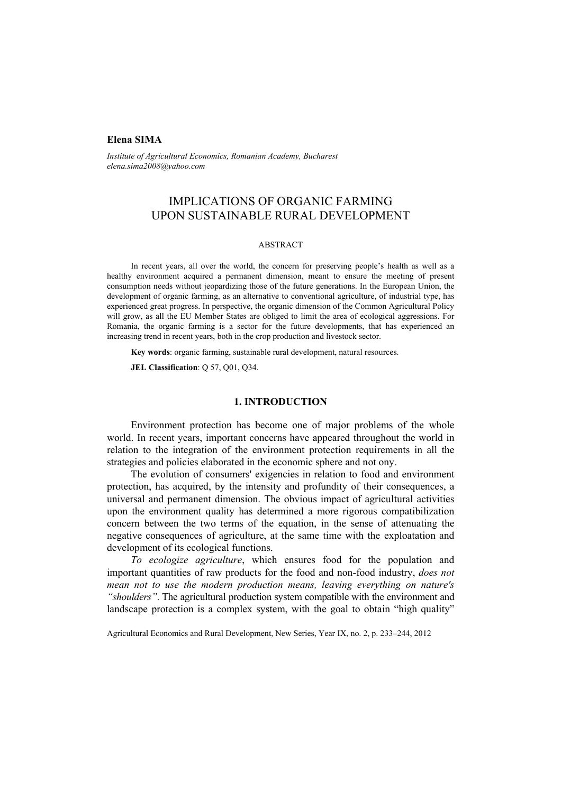## **Elena SIMA**

*Institute of Agricultural Economics, Romanian Academy, Bucharest elena.sima2008@yahoo.com* 

# IMPLICATIONS OF ORGANIC FARMING UPON SUSTAINABLE RURAL DEVELOPMENT

#### ABSTRACT

In recent years, all over the world, the concern for preserving people's health as well as a healthy environment acquired a permanent dimension, meant to ensure the meeting of present consumption needs without jeopardizing those of the future generations. In the European Union, the development of organic farming, as an alternative to conventional agriculture, of industrial type, has experienced great progress. In perspective, the organic dimension of the Common Agricultural Policy will grow, as all the EU Member States are obliged to limit the area of ecological aggressions. For Romania, the organic farming is a sector for the future developments, that has experienced an increasing trend in recent years, both in the crop production and livestock sector.

**Key words**: organic farming, sustainable rural development, natural resources.

**JEL Classification**: Q 57, Q01, Q34.

### **1. INTRODUCTION**

Environment protection has become one of major problems of the whole world. In recent years, important concerns have appeared throughout the world in relation to the integration of the environment protection requirements in all the strategies and policies elaborated in the economic sphere and not ony.

The evolution of consumers' exigencies in relation to food and environment protection, has acquired, by the intensity and profundity of their consequences, a universal and permanent dimension. The obvious impact of agricultural activities upon the environment quality has determined a more rigorous compatibilization concern between the two terms of the equation, in the sense of attenuating the negative consequences of agriculture, at the same time with the exploatation and development of its ecological functions.

*To ecologize agriculture*, which ensures food for the population and important quantities of raw products for the food and non-food industry, *does not mean not to use the modern production means, leaving everything on nature's "shoulders"*. The agricultural production system compatible with the environment and landscape protection is a complex system, with the goal to obtain "high quality"

Agricultural Economics and Rural Development, New Series, Year IX, no. 2, p. 233–244, 2012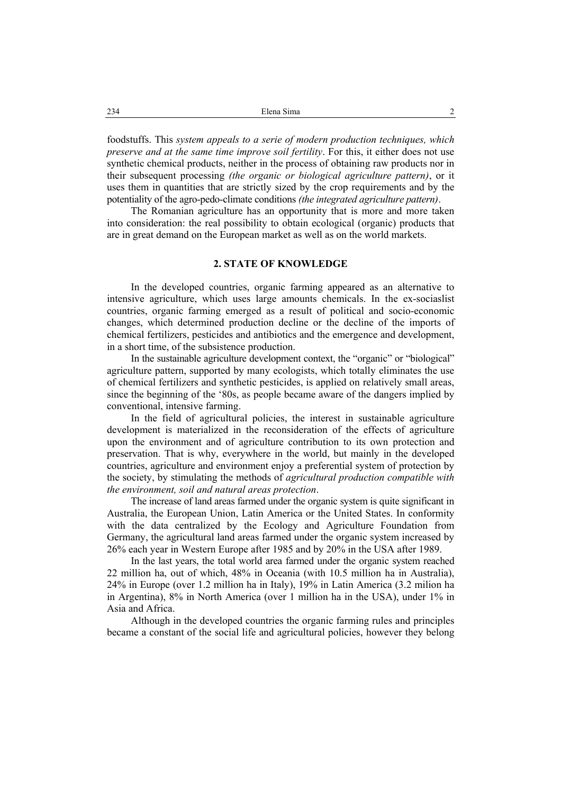foodstuffs. This *system appeals to a serie of modern production techniques, which preserve and at the same time improve soil fertility*. For this, it either does not use synthetic chemical products, neither in the process of obtaining raw products nor in their subsequent processing *(the organic or biological agriculture pattern)*, or it uses them in quantities that are strictly sized by the crop requirements and by the potentiality of the agro-pedo-climate conditions *(the integrated agriculture pattern)*.

The Romanian agriculture has an opportunity that is more and more taken into consideration: the real possibility to obtain ecological (organic) products that are in great demand on the European market as well as on the world markets.

## **2. STATE OF KNOWLEDGE**

In the developed countries, organic farming appeared as an alternative to intensive agriculture, which uses large amounts chemicals. In the ex-sociaslist countries, organic farming emerged as a result of political and socio-economic changes, which determined production decline or the decline of the imports of chemical fertilizers, pesticides and antibiotics and the emergence and development, in a short time, of the subsistence production.

In the sustainable agriculture development context, the "organic" or "biological" agriculture pattern, supported by many ecologists, which totally eliminates the use of chemical fertilizers and synthetic pesticides, is applied on relatively small areas, since the beginning of the '80s, as people became aware of the dangers implied by conventional, intensive farming.

In the field of agricultural policies, the interest in sustainable agriculture development is materialized in the reconsideration of the effects of agriculture upon the environment and of agriculture contribution to its own protection and preservation. That is why, everywhere in the world, but mainly in the developed countries, agriculture and environment enjoy a preferential system of protection by the society, by stimulating the methods of *agricultural production compatible with the environment, soil and natural areas protection*.

The increase of land areas farmed under the organic system is quite significant in Australia, the European Union, Latin America or the United States. In conformity with the data centralized by the Ecology and Agriculture Foundation from Germany, the agricultural land areas farmed under the organic system increased by 26% each year in Western Europe after 1985 and by 20% in the USA after 1989.

In the last years, the total world area farmed under the organic system reached 22 million ha, out of which, 48% in Oceania (with 10.5 million ha in Australia), 24% in Europe (over 1.2 million ha in Italy), 19% in Latin America (3.2 milion ha in Argentina), 8% in North America (over 1 million ha in the USA), under 1% in Asia and Africa.

Although in the developed countries the organic farming rules and principles became a constant of the social life and agricultural policies, however they belong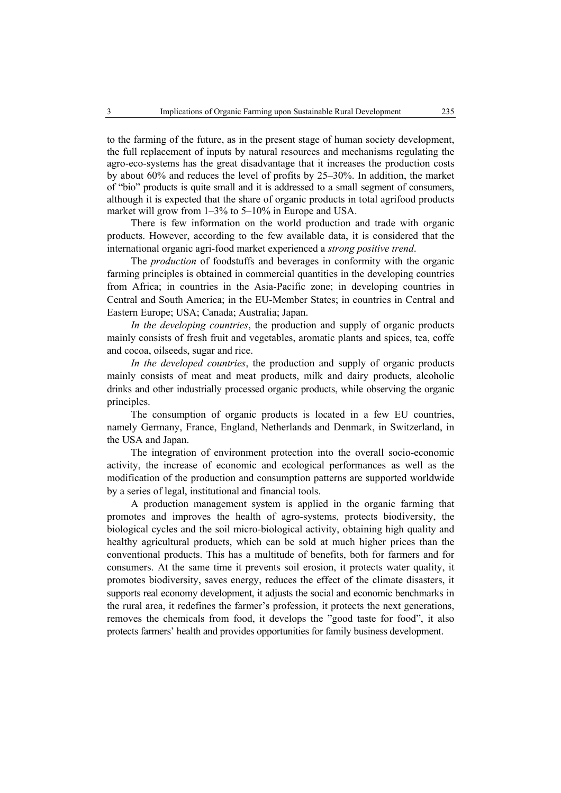to the farming of the future, as in the present stage of human society development, the full replacement of inputs by natural resources and mechanisms regulating the agro-eco-systems has the great disadvantage that it increases the production costs by about 60% and reduces the level of profits by 25–30%. In addition, the market of "bio" products is quite small and it is addressed to a small segment of consumers, although it is expected that the share of organic products in total agrifood products market will grow from 1–3% to 5–10% in Europe and USA.

There is few information on the world production and trade with organic products. However, according to the few available data, it is considered that the international organic agri-food market experienced a *strong positive trend*.

The *production* of foodstuffs and beverages in conformity with the organic farming principles is obtained in commercial quantities in the developing countries from Africa; in countries in the Asia-Pacific zone; in developing countries in Central and South America; in the EU-Member States; in countries in Central and Eastern Europe; USA; Canada; Australia; Japan.

*In the developing countries*, the production and supply of organic products mainly consists of fresh fruit and vegetables, aromatic plants and spices, tea, coffe and cocoa, oilseeds, sugar and rice.

*In the developed countries*, the production and supply of organic products mainly consists of meat and meat products, milk and dairy products, alcoholic drinks and other industrially processed organic products, while observing the organic principles.

The consumption of organic products is located in a few EU countries, namely Germany, France, England, Netherlands and Denmark, in Switzerland, in the USA and Japan.

The integration of environment protection into the overall socio-economic activity, the increase of economic and ecological performances as well as the modification of the production and consumption patterns are supported worldwide by a series of legal, institutional and financial tools.

A production management system is applied in the organic farming that promotes and improves the health of agro-systems, protects biodiversity, the biological cycles and the soil micro-biological activity, obtaining high quality and healthy agricultural products, which can be sold at much higher prices than the conventional products. This has a multitude of benefits, both for farmers and for consumers. At the same time it prevents soil erosion, it protects water quality, it promotes biodiversity, saves energy, reduces the effect of the climate disasters, it supports real economy development, it adjusts the social and economic benchmarks in the rural area, it redefines the farmer's profession, it protects the next generations, removes the chemicals from food, it develops the "good taste for food", it also protects farmers' health and provides opportunities for family business development.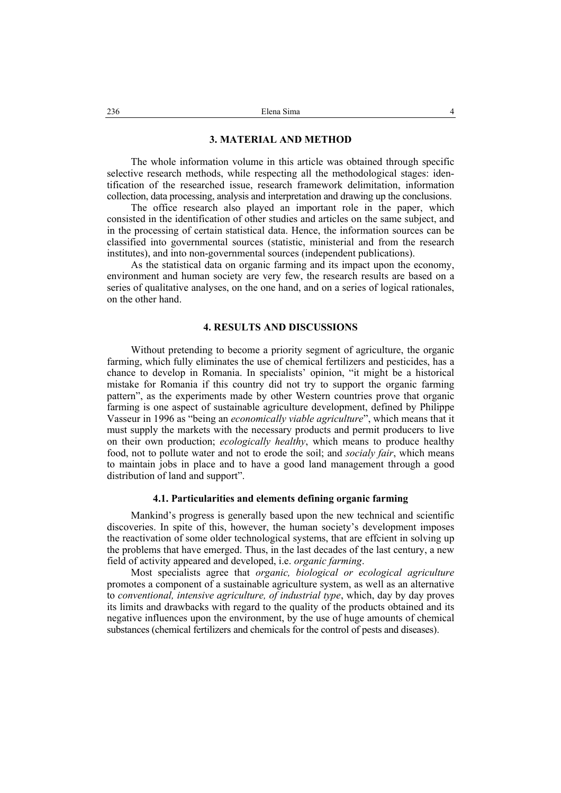#### **3. MATERIAL AND METHOD**

The whole information volume in this article was obtained through specific selective research methods, while respecting all the methodological stages: identification of the researched issue, research framework delimitation, information collection, data processing, analysis and interpretation and drawing up the conclusions.

The office research also played an important role in the paper, which consisted in the identification of other studies and articles on the same subject, and in the processing of certain statistical data. Hence, the information sources can be classified into governmental sources (statistic, ministerial and from the research institutes), and into non-governmental sources (independent publications).

As the statistical data on organic farming and its impact upon the economy, environment and human society are very few, the research results are based on a series of qualitative analyses, on the one hand, and on a series of logical rationales, on the other hand.

#### **4. RESULTS AND DISCUSSIONS**

Without pretending to become a priority segment of agriculture, the organic farming, which fully eliminates the use of chemical fertilizers and pesticides, has a chance to develop in Romania. In specialists' opinion, "it might be a historical mistake for Romania if this country did not try to support the organic farming pattern", as the experiments made by other Western countries prove that organic farming is one aspect of sustainable agriculture development, defined by Philippe Vasseur in 1996 as "being an *economically viable agriculture*", which means that it must supply the markets with the necessary products and permit producers to live on their own production; *ecologically healthy*, which means to produce healthy food, not to pollute water and not to erode the soil; and *socialy fair*, which means to maintain jobs in place and to have a good land management through a good distribution of land and support".

#### **4.1. Particularities and elements defining organic farming**

Mankind's progress is generally based upon the new technical and scientific discoveries. In spite of this, however, the human society's development imposes the reactivation of some older technological systems, that are effcient in solving up the problems that have emerged. Thus, in the last decades of the last century, a new field of activity appeared and developed, i.e. *organic farming*.

Most specialists agree that *organic, biological or ecological agriculture* promotes a component of a sustainable agriculture system, as well as an alternative to *conventional, intensive agriculture, of industrial type*, which, day by day proves its limits and drawbacks with regard to the quality of the products obtained and its negative influences upon the environment, by the use of huge amounts of chemical substances (chemical fertilizers and chemicals for the control of pests and diseases).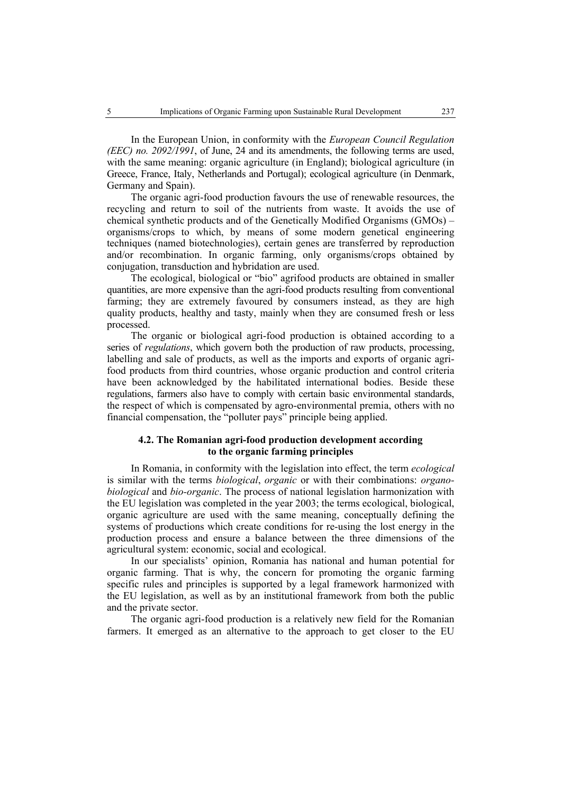In the European Union, in conformity with the *European Council Regulation (EEC) no. 2092/1991*, of June, 24 and its amendments, the following terms are used, with the same meaning: organic agriculture (in England); biological agriculture (in Greece, France, Italy, Netherlands and Portugal); ecological agriculture (in Denmark, Germany and Spain).

The organic agri-food production favours the use of renewable resources, the recycling and return to soil of the nutrients from waste. It avoids the use of chemical synthetic products and of the Genetically Modified Organisms (GMOs) – organisms/crops to which, by means of some modern genetical engineering techniques (named biotechnologies), certain genes are transferred by reproduction and/or recombination. In organic farming, only organisms/crops obtained by conjugation, transduction and hybridation are used.

The ecological, biological or "bio" agrifood products are obtained in smaller quantities, are more expensive than the agri-food products resulting from conventional farming; they are extremely favoured by consumers instead, as they are high quality products, healthy and tasty, mainly when they are consumed fresh or less processed.

The organic or biological agri-food production is obtained according to a series of *regulations*, which govern both the production of raw products, processing, labelling and sale of products, as well as the imports and exports of organic agrifood products from third countries, whose organic production and control criteria have been acknowledged by the habilitated international bodies. Beside these regulations, farmers also have to comply with certain basic environmental standards, the respect of which is compensated by agro-environmental premia, others with no financial compensation, the "polluter pays" principle being applied.

# **4.2. The Romanian agri-food production development according to the organic farming principles**

In Romania, in conformity with the legislation into effect, the term *ecological* is similar with the terms *biological*, *organic* or with their combinations: *organobiological* and *bio-organic*. The process of national legislation harmonization with the EU legislation was completed in the year 2003; the terms ecological, biological, organic agriculture are used with the same meaning, conceptually defining the systems of productions which create conditions for re-using the lost energy in the production process and ensure a balance between the three dimensions of the agricultural system: economic, social and ecological.

In our specialists' opinion, Romania has national and human potential for organic farming. That is why, the concern for promoting the organic farming specific rules and principles is supported by a legal framework harmonized with the EU legislation, as well as by an institutional framework from both the public and the private sector.

The organic agri-food production is a relatively new field for the Romanian farmers. It emerged as an alternative to the approach to get closer to the EU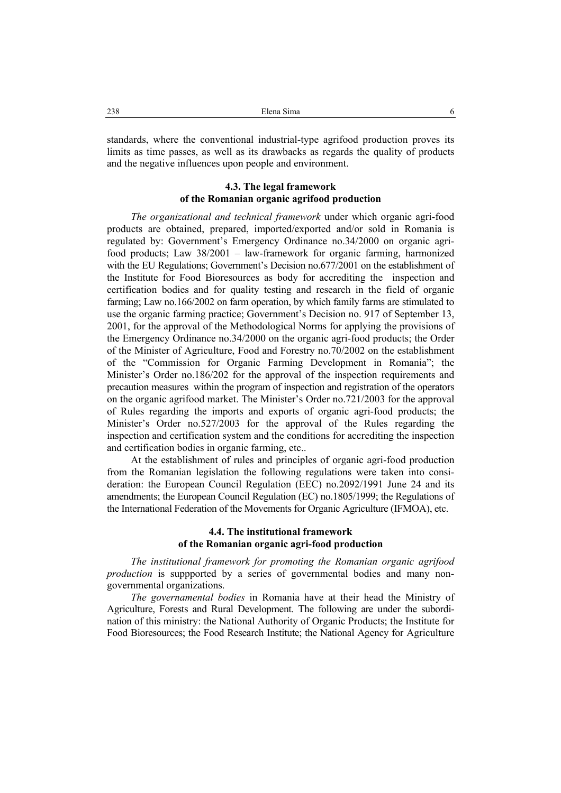standards, where the conventional industrial-type agrifood production proves its limits as time passes, as well as its drawbacks as regards the quality of products and the negative influences upon people and environment.

# **4.3. The legal framework of the Romanian organic agrifood production**

*The organizational and technical framework* under which organic agri-food products are obtained, prepared, imported/exported and/or sold in Romania is regulated by: Government's Emergency Ordinance no.34/2000 on organic agrifood products; Law 38/2001 – law-framework for organic farming, harmonized with the EU Regulations; Government's Decision no.677/2001 on the establishment of the Institute for Food Bioresources as body for accrediting the inspection and certification bodies and for quality testing and research in the field of organic farming; Law no.166/2002 on farm operation, by which family farms are stimulated to use the organic farming practice; Government's Decision no. 917 of September 13, 2001, for the approval of the Methodological Norms for applying the provisions of the Emergency Ordinance no.34/2000 on the organic agri-food products; the Order of the Minister of Agriculture, Food and Forestry no.70/2002 on the establishment of the "Commission for Organic Farming Development in Romania"; the Minister's Order no.186/202 for the approval of the inspection requirements and precaution measures within the program of inspection and registration of the operators on the organic agrifood market. The Minister's Order no.721/2003 for the approval of Rules regarding the imports and exports of organic agri-food products; the Minister's Order no.527/2003 for the approval of the Rules regarding the inspection and certification system and the conditions for accrediting the inspection and certification bodies in organic farming, etc..

At the establishment of rules and principles of organic agri-food production from the Romanian legislation the following regulations were taken into consideration: the European Council Regulation (EEC) no.2092/1991 June 24 and its amendments; the European Council Regulation (EC) no.1805/1999; the Regulations of the International Federation of the Movements for Organic Agriculture (IFMOA), etc.

## **4.4. The institutional framework of the Romanian organic agri-food production**

*The institutional framework for promoting the Romanian organic agrifood production* is suppported by a series of governmental bodies and many nongovernmental organizations.

*The governamental bodies* in Romania have at their head the Ministry of Agriculture, Forests and Rural Development. The following are under the subordination of this ministry: the National Authority of Organic Products; the Institute for Food Bioresources; the Food Research Institute; the National Agency for Agriculture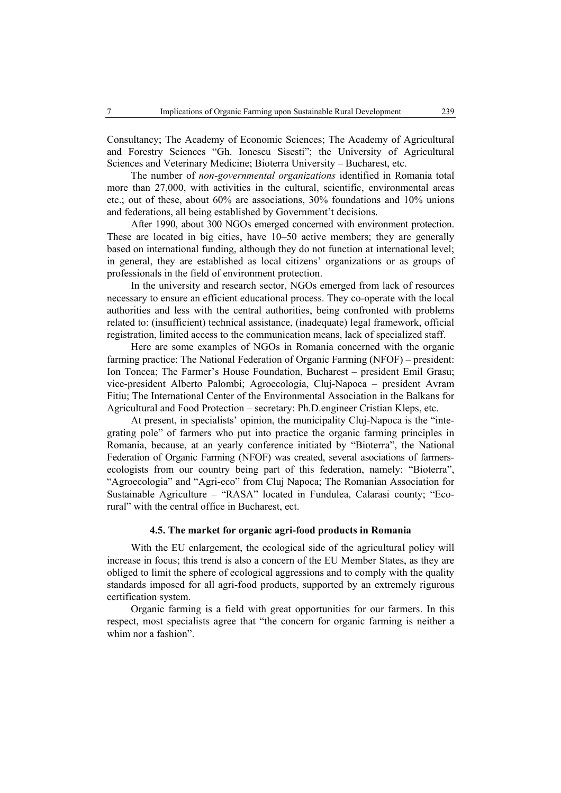Consultancy; The Academy of Economic Sciences; The Academy of Agricultural and Forestry Sciences "Gh. Ionescu Sisesti"; the University of Agricultural Sciences and Veterinary Medicine; Bioterra University – Bucharest, etc.

The number of *non-governmental organizations* identified in Romania total more than 27,000, with activities in the cultural, scientific, environmental areas etc.; out of these, about 60% are associations, 30% foundations and 10% unions and federations, all being established by Government't decisions.

After 1990, about 300 NGOs emerged concerned with environment protection. These are located in big cities, have 10–50 active members; they are generally based on international funding, although they do not function at international level; in general, they are established as local citizens' organizations or as groups of professionals in the field of environment protection.

In the university and research sector, NGOs emerged from lack of resources necessary to ensure an efficient educational process. They co-operate with the local authorities and less with the central authorities, being confronted with problems related to: (insufficient) technical assistance, (inadequate) legal framework, official registration, limited access to the communication means, lack of specialized staff.

Here are some examples of NGOs in Romania concerned with the organic farming practice: The National Federation of Organic Farming (NFOF) – president: Ion Toncea; The Farmer's House Foundation, Bucharest – president Emil Grasu; vice-president Alberto Palombi; Agroecologia, Cluj-Napoca – president Avram Fitiu; The International Center of the Environmental Association in the Balkans for Agricultural and Food Protection – secretary: Ph.D.engineer Cristian Kleps, etc.

At present, in specialists' opinion, the municipality Cluj-Napoca is the "integrating pole" of farmers who put into practice the organic farming principles in Romania, because, at an yearly conference initiated by "Bioterra", the National Federation of Organic Farming (NFOF) was created, several asociations of farmersecologists from our country being part of this federation, namely: "Bioterra", "Agroecologia" and "Agri-eco" from Cluj Napoca; The Romanian Association for Sustainable Agriculture – "RASA" located in Fundulea, Calarasi county; "Ecorural" with the central office in Bucharest, ect.

# **4.5. The market for organic agri-food products in Romania**

With the EU enlargement, the ecological side of the agricultural policy will increase in focus; this trend is also a concern of the EU Member States, as they are obliged to limit the sphere of ecological aggressions and to comply with the quality standards imposed for all agri-food products, supported by an extremely rigurous certification system.

Organic farming is a field with great opportunities for our farmers. In this respect, most specialists agree that "the concern for organic farming is neither a whim nor a fashion".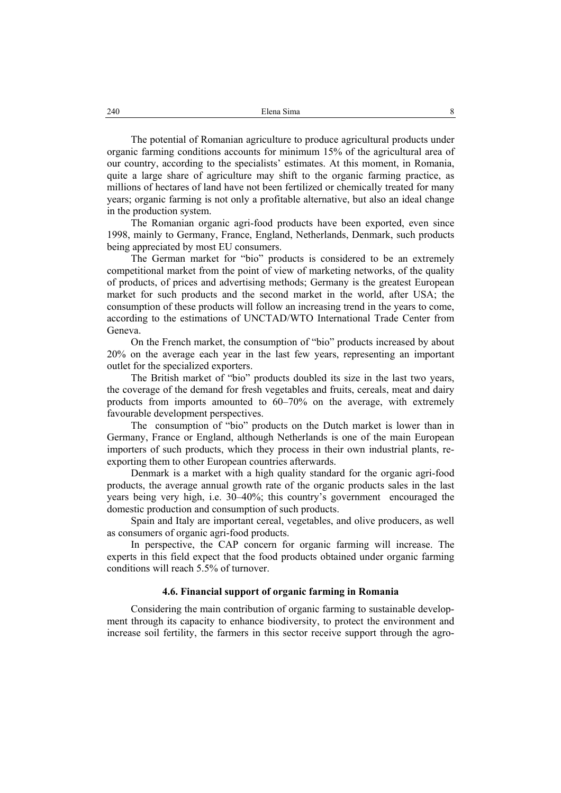The potential of Romanian agriculture to produce agricultural products under organic farming conditions accounts for minimum 15% of the agricultural area of our country, according to the specialists' estimates. At this moment, in Romania, quite a large share of agriculture may shift to the organic farming practice, as millions of hectares of land have not been fertilized or chemically treated for many years; organic farming is not only a profitable alternative, but also an ideal change in the production system.

The Romanian organic agri-food products have been exported, even since 1998, mainly to Germany, France, England, Netherlands, Denmark, such products being appreciated by most EU consumers.

The German market for "bio" products is considered to be an extremely competitional market from the point of view of marketing networks, of the quality of products, of prices and advertising methods; Germany is the greatest European market for such products and the second market in the world, after USA; the consumption of these products will follow an increasing trend in the years to come, according to the estimations of UNCTAD/WTO International Trade Center from Geneva.

On the French market, the consumption of "bio" products increased by about 20% on the average each year in the last few years, representing an important outlet for the specialized exporters.

The British market of "bio" products doubled its size in the last two years, the coverage of the demand for fresh vegetables and fruits, cereals, meat and dairy products from imports amounted to 60–70% on the average, with extremely favourable development perspectives.

The consumption of "bio" products on the Dutch market is lower than in Germany, France or England, although Netherlands is one of the main European importers of such products, which they process in their own industrial plants, reexporting them to other European countries afterwards.

Denmark is a market with a high quality standard for the organic agri-food products, the average annual growth rate of the organic products sales in the last years being very high, i.e. 30–40%; this country's government encouraged the domestic production and consumption of such products.

Spain and Italy are important cereal, vegetables, and olive producers, as well as consumers of organic agri-food products.

In perspective, the CAP concern for organic farming will increase. The experts in this field expect that the food products obtained under organic farming conditions will reach 5.5% of turnover.

### **4.6. Financial support of organic farming in Romania**

Considering the main contribution of organic farming to sustainable development through its capacity to enhance biodiversity, to protect the environment and increase soil fertility, the farmers in this sector receive support through the agro-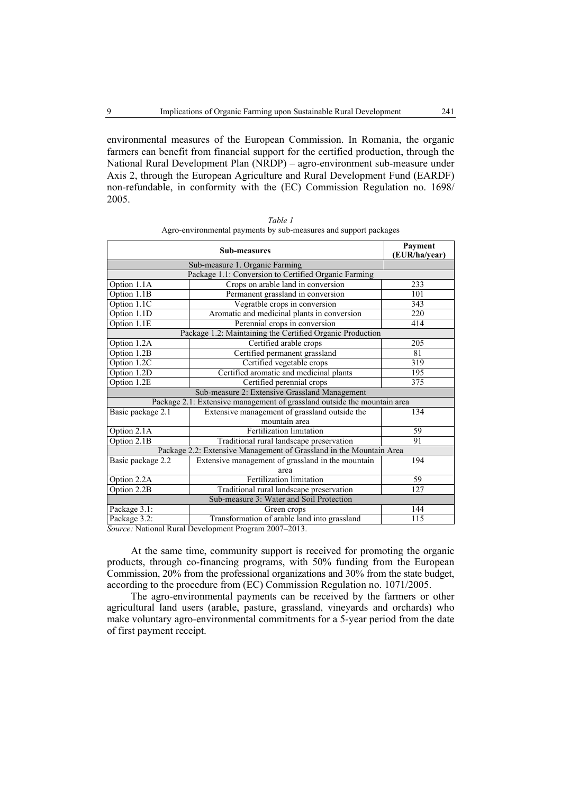environmental measures of the European Commission. In Romania, the organic farmers can benefit from financial support for the certified production, through the National Rural Development Plan (NRDP) – agro-environment sub-measure under Axis 2, through the European Agriculture and Rural Development Fund (EARDF) non-refundable, in conformity with the (EC) Commission Regulation no. 1698/ 2005.

| <b>Sub-measures</b>                                                      |                                                                                                                      | Payment<br>(EUR/ha/year) |
|--------------------------------------------------------------------------|----------------------------------------------------------------------------------------------------------------------|--------------------------|
| Sub-measure 1. Organic Farming                                           |                                                                                                                      |                          |
| Package 1.1: Conversion to Certified Organic Farming                     |                                                                                                                      |                          |
| Option 1.1A                                                              | Crops on arable land in conversion                                                                                   | 233                      |
| Option 1.1B                                                              | Permanent grassland in conversion                                                                                    | 101                      |
| Option 1.1C                                                              | Vegratble crops in conversion                                                                                        | 343                      |
| Option 1.1D                                                              | Aromatic and medicinal plants in conversion                                                                          | 220                      |
| Option 1.1E                                                              | Perennial crops in conversion                                                                                        | 414                      |
| Package 1.2: Maintaining the Certified Organic Production                |                                                                                                                      |                          |
| Option 1.2A                                                              | Certified arable crops                                                                                               | 205                      |
| Option 1.2B                                                              | Certified permanent grassland                                                                                        | 81                       |
| Option 1.2C                                                              | Certified vegetable crops                                                                                            | 319                      |
| Option 1.2D                                                              | Certified aromatic and medicinal plants                                                                              | 195                      |
| Option 1.2E                                                              | Certified perennial crops                                                                                            | 375                      |
| Sub-measure 2: Extensive Grassland Management                            |                                                                                                                      |                          |
| Package 2.1: Extensive management of grassland outside the mountain area |                                                                                                                      |                          |
| Basic package 2.1                                                        | Extensive management of grassland outside the                                                                        | 134                      |
|                                                                          | mountain area                                                                                                        |                          |
| Option 2.1A                                                              | Fertilization limitation                                                                                             | 59                       |
| Option 2.1B                                                              | Traditional rural landscape preservation                                                                             | 91                       |
| Package 2.2: Extensive Management of Grassland in the Mountain Area      |                                                                                                                      |                          |
| Basic package 2.2                                                        | Extensive management of grassland in the mountain                                                                    | 194                      |
|                                                                          | area                                                                                                                 |                          |
| Option 2.2A                                                              | Fertilization limitation                                                                                             | 59                       |
| Option 2.2B                                                              | Traditional rural landscape preservation                                                                             | 127                      |
| Sub-measure 3: Water and Soil Protection                                 |                                                                                                                      |                          |
| Package 3.1:                                                             | Green crops                                                                                                          | 144                      |
| Package 3.2:                                                             | Transformation of arable land into grassland<br>$S_{\text{current}}$ Method Durch Development Discovery $2007, 2012$ | 115                      |

*Table 1*  Agro-environmental payments by sub-measures and support packages

*Source:* National Rural Development Program 2007–2013.

At the same time, community support is received for promoting the organic products, through co-financing programs, with 50% funding from the European Commission, 20% from the professional organizations and 30% from the state budget, according to the procedure from (EC) Commission Regulation no. 1071/2005.

The agro-environmental payments can be received by the farmers or other agricultural land users (arable, pasture, grassland, vineyards and orchards) who make voluntary agro-environmental commitments for a 5-year period from the date of first payment receipt.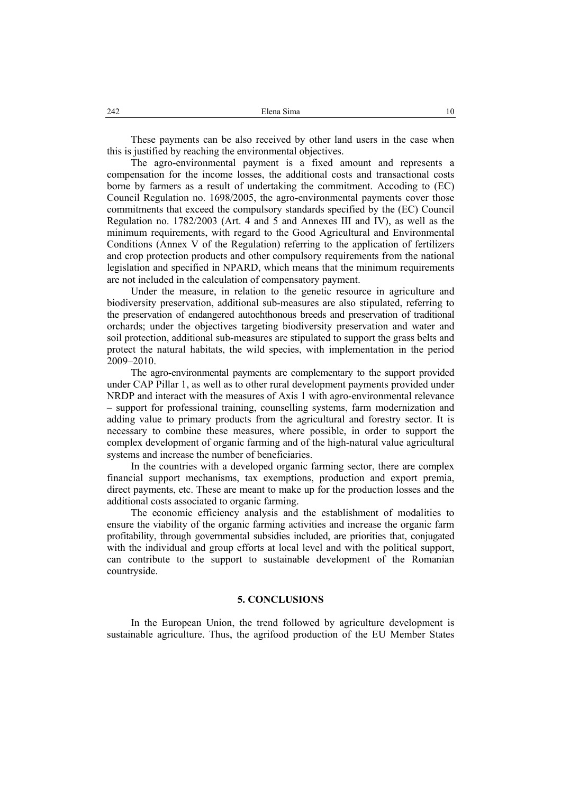These payments can be also received by other land users in the case when this is justified by reaching the environmental objectives.

The agro-environmental payment is a fixed amount and represents a compensation for the income losses, the additional costs and transactional costs borne by farmers as a result of undertaking the commitment. Accoding to (EC) Council Regulation no. 1698/2005, the agro-environmental payments cover those commitments that exceed the compulsory standards specified by the (EC) Council Regulation no. 1782/2003 (Art. 4 and 5 and Annexes III and IV), as well as the minimum requirements, with regard to the Good Agricultural and Environmental Conditions (Annex V of the Regulation) referring to the application of fertilizers and crop protection products and other compulsory requirements from the national legislation and specified in NPARD, which means that the minimum requirements are not included in the calculation of compensatory payment.

Under the measure, in relation to the genetic resource in agriculture and biodiversity preservation, additional sub-measures are also stipulated, referring to the preservation of endangered autochthonous breeds and preservation of traditional orchards; under the objectives targeting biodiversity preservation and water and soil protection, additional sub-measures are stipulated to support the grass belts and protect the natural habitats, the wild species, with implementation in the period 2009–2010.

The agro-environmental payments are complementary to the support provided under CAP Pillar 1, as well as to other rural development payments provided under NRDP and interact with the measures of Axis 1 with agro-environmental relevance – support for professional training, counselling systems, farm modernization and adding value to primary products from the agricultural and forestry sector. It is necessary to combine these measures, where possible, in order to support the complex development of organic farming and of the high-natural value agricultural systems and increase the number of beneficiaries.

In the countries with a developed organic farming sector, there are complex financial support mechanisms, tax exemptions, production and export premia, direct payments, etc. These are meant to make up for the production losses and the additional costs associated to organic farming.

The economic efficiency analysis and the establishment of modalities to ensure the viability of the organic farming activities and increase the organic farm profitability, through governmental subsidies included, are priorities that, conjugated with the individual and group efforts at local level and with the political support, can contribute to the support to sustainable development of the Romanian countryside.

#### **5. CONCLUSIONS**

In the European Union, the trend followed by agriculture development is sustainable agriculture. Thus, the agrifood production of the EU Member States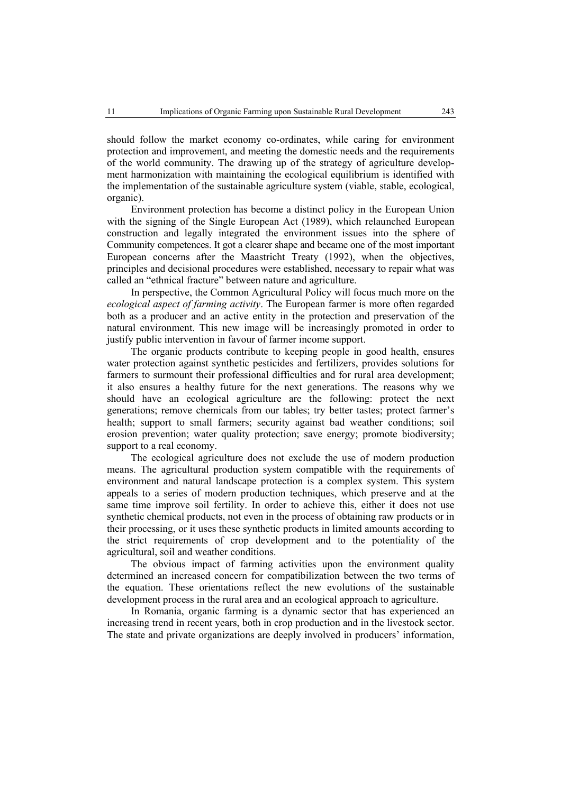should follow the market economy co-ordinates, while caring for environment protection and improvement, and meeting the domestic needs and the requirements of the world community. The drawing up of the strategy of agriculture development harmonization with maintaining the ecological equilibrium is identified with the implementation of the sustainable agriculture system (viable, stable, ecological, organic).

Environment protection has become a distinct policy in the European Union with the signing of the Single European Act (1989), which relaunched European construction and legally integrated the environment issues into the sphere of Community competences. It got a clearer shape and became one of the most important European concerns after the Maastricht Treaty (1992), when the objectives, principles and decisional procedures were established, necessary to repair what was called an "ethnical fracture" between nature and agriculture.

In perspective, the Common Agricultural Policy will focus much more on the *ecological aspect of farming activity*. The European farmer is more often regarded both as a producer and an active entity in the protection and preservation of the natural environment. This new image will be increasingly promoted in order to justify public intervention in favour of farmer income support.

The organic products contribute to keeping people in good health, ensures water protection against synthetic pesticides and fertilizers, provides solutions for farmers to surmount their professional difficulties and for rural area development; it also ensures a healthy future for the next generations. The reasons why we should have an ecological agriculture are the following: protect the next generations; remove chemicals from our tables; try better tastes; protect farmer's health; support to small farmers; security against bad weather conditions; soil erosion prevention; water quality protection; save energy; promote biodiversity; support to a real economy.

The ecological agriculture does not exclude the use of modern production means. The agricultural production system compatible with the requirements of environment and natural landscape protection is a complex system. This system appeals to a series of modern production techniques, which preserve and at the same time improve soil fertility. In order to achieve this, either it does not use synthetic chemical products, not even in the process of obtaining raw products or in their processing, or it uses these synthetic products in limited amounts according to the strict requirements of crop development and to the potentiality of the agricultural, soil and weather conditions.

The obvious impact of farming activities upon the environment quality determined an increased concern for compatibilization between the two terms of the equation. These orientations reflect the new evolutions of the sustainable development process in the rural area and an ecological approach to agriculture.

In Romania, organic farming is a dynamic sector that has experienced an increasing trend in recent years, both in crop production and in the livestock sector. The state and private organizations are deeply involved in producers' information,